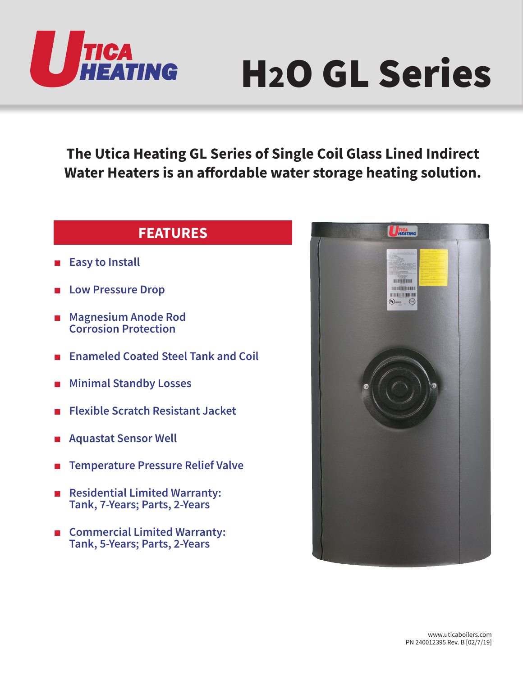

## H2O GL Series

**The Utica Heating GL Series of Single Coil Glass Lined Indirect Water Heaters is an affordable water storage heating solution.**

## **FEATURES**

- **Easy to Install**
- **Low Pressure Drop**
- **Magnesium Anode Rod Corrosion Protection**
- **Enameled Coated Steel Tank and Coil**
- **Minimal Standby Losses**
- **Flexible Scratch Resistant Jacket**
- **Aquastat Sensor Well**
- **Temperature Pressure Relief Valve**
- **Residential Limited Warranty: Tank, 7-Years; Parts, 2-Years**
- **Commercial Limited Warranty: Tank, 5-Years; Parts, 2-Years**